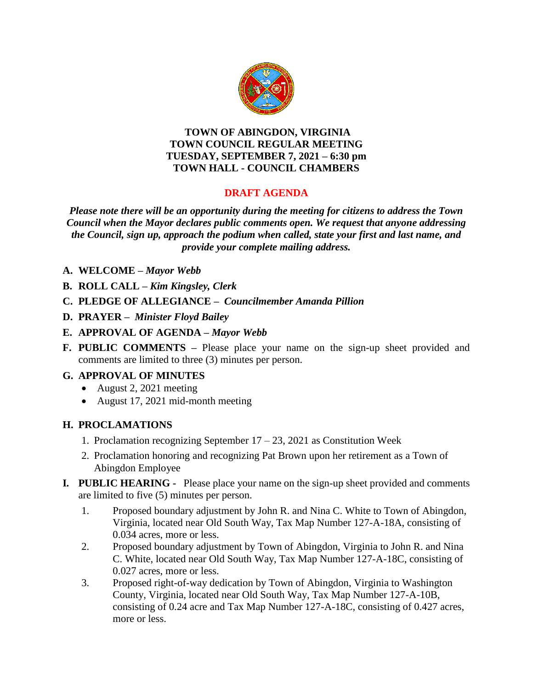

#### **TOWN OF ABINGDON, VIRGINIA TOWN COUNCIL REGULAR MEETING TUESDAY, SEPTEMBER 7, 2021 – 6:30 pm TOWN HALL - COUNCIL CHAMBERS**

# **DRAFT AGENDA**

*Please note there will be an opportunity during the meeting for citizens to address the Town Council when the Mayor declares public comments open. We request that anyone addressing the Council, sign up, approach the podium when called, state your first and last name, and provide your complete mailing address.*

- **A. WELCOME –** *Mayor Webb*
- **B. ROLL CALL –** *Kim Kingsley, Clerk*
- **C. PLEDGE OF ALLEGIANCE –** *Councilmember Amanda Pillion*
- **D. PRAYER –** *Minister Floyd Bailey*
- **E. APPROVAL OF AGENDA –** *Mayor Webb*
- **F. PUBLIC COMMENTS –** Please place your name on the sign-up sheet provided and comments are limited to three (3) minutes per person.

# **G. APPROVAL OF MINUTES**

- August 2, 2021 meeting
- August 17, 2021 mid-month meeting

# **H. PROCLAMATIONS**

- 1. Proclamation recognizing September  $17 23$ , 2021 as Constitution Week
- 2. Proclamation honoring and recognizing Pat Brown upon her retirement as a Town of Abingdon Employee
- **I***.* **PUBLIC HEARING** Please place your name on the sign-up sheet provided and comments are limited to five (5) minutes per person.
	- 1. Proposed boundary adjustment by John R. and Nina C. White to Town of Abingdon, Virginia, located near Old South Way, Tax Map Number 127-A-18A, consisting of 0.034 acres, more or less.
	- 2. Proposed boundary adjustment by Town of Abingdon, Virginia to John R. and Nina C. White, located near Old South Way, Tax Map Number 127-A-18C, consisting of 0.027 acres, more or less.
	- 3. Proposed right-of-way dedication by Town of Abingdon, Virginia to Washington County, Virginia, located near Old South Way, Tax Map Number 127-A-10B, consisting of 0.24 acre and Tax Map Number 127-A-18C, consisting of 0.427 acres, more or less.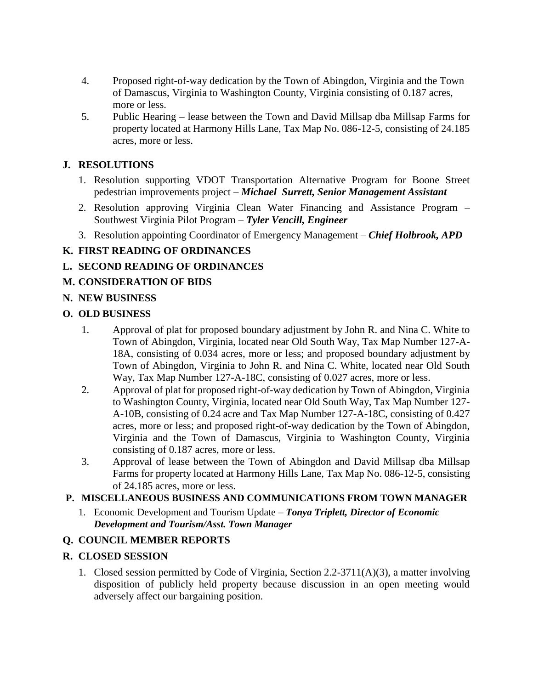- 4. Proposed right-of-way dedication by the Town of Abingdon, Virginia and the Town of Damascus, Virginia to Washington County, Virginia consisting of 0.187 acres, more or less.
- 5. Public Hearing lease between the Town and David Millsap dba Millsap Farms for property located at Harmony Hills Lane, Tax Map No. 086-12-5, consisting of 24.185 acres, more or less.

### **J. RESOLUTIONS**

- 1. Resolution supporting VDOT Transportation Alternative Program for Boone Street pedestrian improvements project – *Michael Surrett, Senior Management Assistant*
- 2. Resolution approving Virginia Clean Water Financing and Assistance Program Southwest Virginia Pilot Program – *Tyler Vencill, Engineer*
- 3. Resolution appointing Coordinator of Emergency Management *Chief Holbrook, APD*

# **K. FIRST READING OF ORDINANCES**

# **L. SECOND READING OF ORDINANCES**

# **M. CONSIDERATION OF BIDS**

### **N. NEW BUSINESS**

### **O. OLD BUSINESS**

- 1. Approval of plat for proposed boundary adjustment by John R. and Nina C. White to Town of Abingdon, Virginia, located near Old South Way, Tax Map Number 127-A-18A, consisting of 0.034 acres, more or less; and proposed boundary adjustment by Town of Abingdon, Virginia to John R. and Nina C. White, located near Old South Way, Tax Map Number 127-A-18C, consisting of 0.027 acres, more or less.
- 2. Approval of plat for proposed right-of-way dedication by Town of Abingdon, Virginia to Washington County, Virginia, located near Old South Way, Tax Map Number 127- A-10B, consisting of 0.24 acre and Tax Map Number 127-A-18C, consisting of 0.427 acres, more or less; and proposed right-of-way dedication by the Town of Abingdon, Virginia and the Town of Damascus, Virginia to Washington County, Virginia consisting of 0.187 acres, more or less.
- 3. Approval of lease between the Town of Abingdon and David Millsap dba Millsap Farms for property located at Harmony Hills Lane, Tax Map No. 086-12-5, consisting of 24.185 acres, more or less.

# **P. MISCELLANEOUS BUSINESS AND COMMUNICATIONS FROM TOWN MANAGER**

1. Economic Development and Tourism Update – *Tonya Triplett, Director of Economic Development and Tourism/Asst. Town Manager*

# **Q. COUNCIL MEMBER REPORTS**

#### **R. CLOSED SESSION**

1. Closed session permitted by Code of Virginia, Section 2.2-3711(A)(3), a matter involving disposition of publicly held property because discussion in an open meeting would adversely affect our bargaining position.